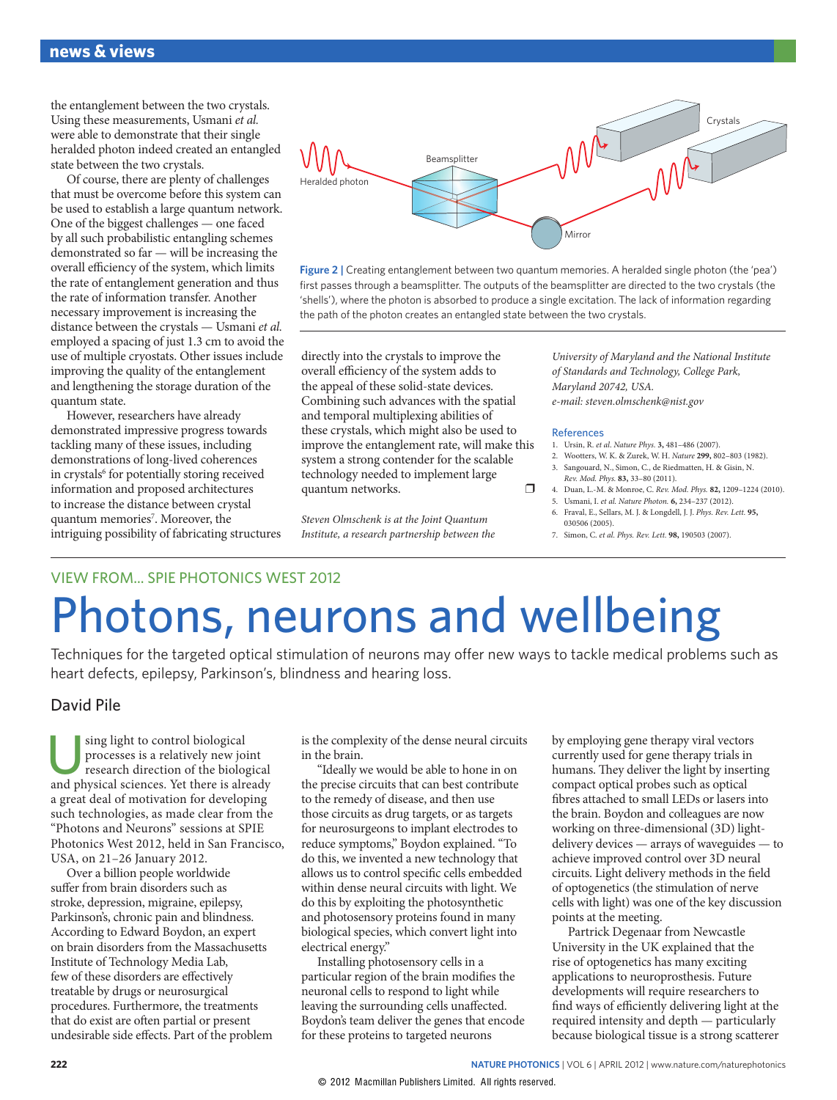the entanglement between the two crystals. Using these measurements, Usmani et al. were able to demonstrate that their single heralded photon indeed created an entangled state between the two crystals.

Of course, there are plenty of challenges that must be overcome before this system can be used to establish a large quantum network. One of the biggest challenges — one faced by all such probabilistic entangling schemes demonstrated so far — will be increasing the overall efficiency of the system, which limits the rate of entanglement generation and thus the rate of information transfer. Another necessary improvement is increasing the distance between the crystals — Usmani et al. employed a spacing of just 1.3 cm to avoid the use of multiple cryostats. Other issues include improving the quality of the entanglement and lengthening the storage duration of the quantum state.

However, researchers have already demonstrated impressive progress towards tackling many of these issues, including demonstrations of long-lived coherences in crystals<sup>6</sup> for potentially storing received information and proposed architectures to increase the distance between crystal quantum memories<sup>7</sup>. Moreover, the intriguing possibility of fabricating structures



**Figure 2 |** Creating entanglement between two quantum memories. A heralded single photon (the 'pea') first passes through a beamsplitter. The outputs of the beamsplitter are directed to the two crystals (the 'shells'), where the photon is absorbed to produce a single excitation. The lack of information regarding the path of the photon creates an entangled state between the two crystals.

directly into the crystals to improve the overall efficiency of the system adds to the appeal of these solid-state devices. Combining such advances with the spatial and temporal multiplexing abilities of these crystals, which might also be used to improve the entanglement rate, will make this system a strong contender for the scalable technology needed to implement large quantum networks. ❒

Steven Olmschenk is at the Joint Quantum Institute, a research partnership between the

University of Maryland and the National Institute of Standards and Technology, College Park, Maryland 20742, USA. e-mail: [steven.olmschenk@nist.gov](mailto:steven.olmschenk@nist.gov)

## References

- 1. Ursin, R. et al. Nature Phys. **3,** 481–486 (2007).
- 2. Wootters, W. K. & Zurek, W. H. Nature **299,** 802–803 (1982).
- 3. Sangouard, N., Simon, C., de Riedmatten, H. & Gisin, N. Rev. Mod. Phys. **83,** 33–80 (2011).
- 4. Duan, L.-M. & Monroe, C. Rev. Mod. Phys. **82,** 1209–1224 (2010). 5. Usmani, I. et al. Nature Photon. **6,** 234–237 (2012).
- 6. Fraval, E., Sellars, M. J. & Longdell, J. J. Phys. Rev. Lett. **95,** 030506 (2005).
- 7. Simon, C. et al. Phys. Rev. Lett. **98,** 190503 (2007).

## VIEW FROM... SPIE PHOTONICS WEST 2012 Photons, neurons and wellbeing

Techniques for the targeted optical stimulation of neurons may offer new ways to tackle medical problems such as heart defects, epilepsy, Parkinson's, blindness and hearing loss.

## David Pile

sing light to control biological processes is a relatively new joint research direction of the biological and physical sciences. Yet there is already a great deal of motivation for developing such technologies, as made clear from the "Photons and Neurons" sessions at SPIE Photonics West 2012, held in San Francisco, USA, on 21–26 January 2012.

Over a billion people worldwide suffer from brain disorders such as stroke, depression, migraine, epilepsy, Parkinson's, chronic pain and blindness. According to Edward Boydon, an expert on brain disorders from the Massachusetts Institute of Technology Media Lab, few of these disorders are effectively treatable by drugs or neurosurgical procedures. Furthermore, the treatments that do exist are often partial or present undesirable side effects. Part of the problem is the complexity of the dense neural circuits in the brain.

"Ideally we would be able to hone in on the precise circuits that can best contribute to the remedy of disease, and then use those circuits as drug targets, or as targets for neurosurgeons to implant electrodes to reduce symptoms," Boydon explained. "To do this, we invented a new technology that allows us to control specific cells embedded within dense neural circuits with light. We do this by exploiting the photosynthetic and photosensory proteins found in many biological species, which convert light into electrical energy."

Installing photosensory cells in a particular region of the brain modifies the neuronal cells to respond to light while leaving the surrounding cells unaffected. Boydon's team deliver the genes that encode for these proteins to targeted neurons

by employing gene therapy viral vectors currently used for gene therapy trials in humans. They deliver the light by inserting compact optical probes such as optical fibres attached to small LEDs or lasers into the brain. Boydon and colleagues are now working on three-dimensional (3D) lightdelivery devices — arrays of waveguides — to achieve improved control over 3D neural circuits. Light delivery methods in the field of optogenetics (the stimulation of nerve cells with light) was one of the key discussion points at the meeting.

Partrick Degenaar from Newcastle University in the UK explained that the rise of optogenetics has many exciting applications to neuroprosthesis. Future developments will require researchers to find ways of efficiently delivering light at the required intensity and depth — particularly because biological tissue is a strong scatterer